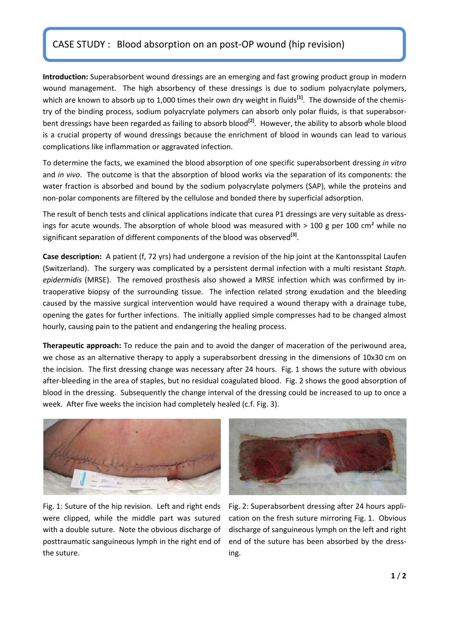## CASE STUDY : Blood absorption on an post‐OP wound (hip revision)

**Introduction:** Superabsorbent wound dressings are an emerging and fast growing product group in modern wound management. The high absorbency of these dressings is due to sodium polyacrylate polymers, which are known to absorb up to 1,000 times their own dry weight in fluids<sup>[1]</sup>. The downside of the chemistry of the binding process, sodium polyacrylate polymers can absorb only polar fluids, is that superabsor‐ bent dressings have been regarded as failing to absorb blood**[2]**. However, the ability to absorb whole blood is a crucial property of wound dressings because the enrichment of blood in wounds can lead to various complications like inflammation or aggravated infection.

To determine the facts, we examined the blood absorption of one specific superabsorbent dressing *in vitro* and *in vivo*. The outcome is that the absorption of blood works via the separation of its components: the water fraction is absorbed and bound by the sodium polyacrylate polymers (SAP), while the proteins and non‐polar components are filtered by the cellulose and bonded there by superficial adsorption.

The result of bench tests and clinical applications indicate that curea P1 dressings are very suitable as dressings for acute wounds. The absorption of whole blood was measured with > 100 g per 100 cm<sup>2</sup> while no significant separation of different components of the blood was observed<sup>[3]</sup>.

**Case description:** A patient (f, 72 yrs) had undergone a revision of the hip joint at the Kantonsspital Laufen (Switzerland). The surgery was complicated by a persistent dermal infection with a multi resistant *Staph. epidermidis* (MRSE). The removed prosthesis also showed a MRSE infection which was confirmed by in‐ traoperative biopsy of the surrounding tissue. The infection related strong exudation and the bleeding caused by the massive surgical intervention would have required a wound therapy with a drainage tube, opening the gates for further infections. The initially applied simple compresses had to be changed almost hourly, causing pain to the patient and endangering the healing process.

**Therapeutic approach:** To reduce the pain and to avoid the danger of maceration of the periwound area, we chose as an alternative therapy to apply a superabsorbent dressing in the dimensions of 10x30 cm on the incision. The first dressing change was necessary after 24 hours. Fig. 1 shows the suture with obvious after‐bleeding in the area of staples, but no residual coagulated blood. Fig. 2 shows the good absorption of blood in the dressing. Subsequently the change interval of the dressing could be increased to up to once a week. After five weeks the incision had completely healed (c.f. Fig. 3).



Fig. 1: Suture of the hip revision. Left and right ends were clipped, while the middle part was sutured with a double suture. Note the obvious discharge of posttraumatic sanguineous lymph in the right end of the suture.



Fig. 2: Superabsorbent dressing after 24 hours appli‐ cation on the fresh suture mirroring Fig. 1. Obvious discharge of sanguineous lymph on the left and right end of the suture has been absorbed by the dressing.